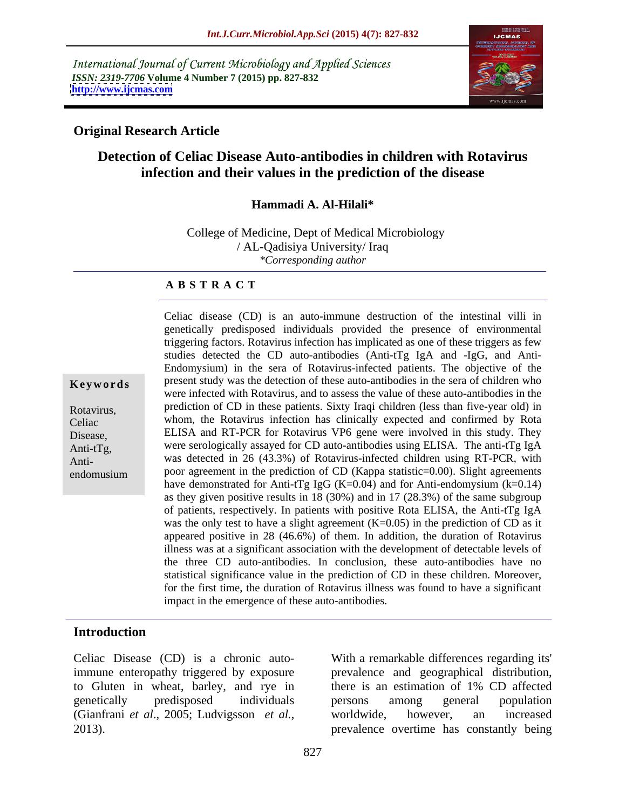International Journal of Current Microbiology and Applied Sciences *ISSN: 2319-7706* **Volume 4 Number 7 (2015) pp. 827-832 <http://www.ijcmas.com>**



### **Original Research Article**

# **Detection of Celiac Disease Auto-antibodies in children with Rotavirus infection and their values in the prediction of the disease**

### **Hammadi A. Al-Hilali\***

College of Medicine, Dept of Medical Microbiology / AL-Qadisiya University/ Iraq *\*Corresponding author*

### **A B S T R A C T**

endomusium

genetically predisposed individuals provided the presence of environmental triggering factors. Rotavirus infection has implicated as one of these triggers as few studies detected the CD auto-antibodies (Anti-tTg IgA and -IgG, and Anti- Endomysium) in the sera of Rotavirus-infected patients. The objective of the **Keywords** present study was the detection of these auto-antibodies in the sera of children who were infected with Rotavirus, and to assess the value of these auto-antibodies in the prediction of CD in these patients. Sixty Iraqi children (less than five-year old) in Rotavirus, whom, the Rotavirus infection has clinically expected and confirmed by Rota Celiac ELISA and RT-PCR for Rotavirus VP6 gene were involved in this study. They Disease, Anti-tTg, were serologically assayed for CD auto-antibodies using ELISA. The anti-tTg IgA Anti-<br>
was detected in 26 (43.3%) of Rotavirus-infected children using RT-PCR, with poor agreement in the prediction of CD (Kappa statistic=0.00). Slight agreements have demonstrated for Anti-tTg IgG (K=0.04) and for Anti-endomysium  $(k=0.14)$ as they given positive results in 18 (30%) and in 17 (28.3%) of the same subgroup of patients, respectively. In patients with positive Rota ELISA, the Anti-tTg IgA was the only test to have a slight agreement  $(K=0.05)$  in the prediction of CD as it appeared positive in 28 (46.6%) of them. In addition, the duration of Rotavirus illness was at a significant association with the development of detectable levels of the three CD auto-antibodies. In conclusion, these auto-antibodies have no statistical significance value in the prediction of CD in these children. Moreover, for the first time, the duration of Rotavirus illness was found to have a significant impact in the emergence of these auto-antibodies.

Celiac disease (CD) is an auto-immune destruction of the intestinal villi in

### **Introduction**

Celiac Disease (CD) is a chronic auto-With a remarkable differences regarding its' to Gluten in wheat, barley, and rye in there is an estimation of 1% CD affected (Gianfrani *et al.*, 2005; Ludvigsson *et al.*, worldwide, however, an increased prevalence overtime has constantly being

immune enteropathy triggered by exposure prevalence and geographical distribution, genetically predisposed individuals there is an estimation of 1% CD affected persons among general population worldwide, however, an increased prevalence overtime has constantly being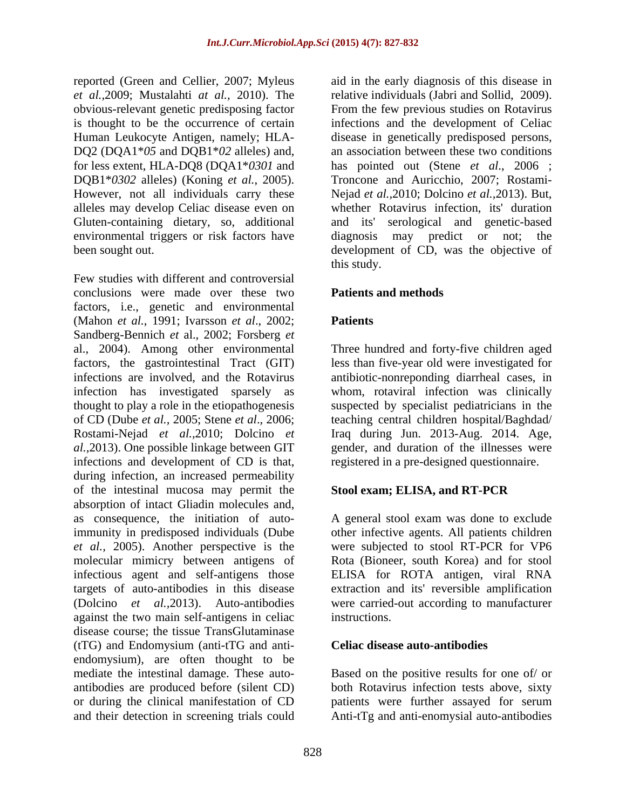*et al.,*2009; Mustalahti *at al.,* 2010). The obvious-relevant genetic predisposing factor DQ2 (DQA1\**05* and DQB1\**02* alleles) and, alleles may develop Celiac disease even on

Few studies with different and controversial conclusions were made over these two **Patients and methods** factors, i.e., genetic and environmental (Mahon *et al.*, 1991; Ivarsson *et al*., 2002; Sandberg-Bennich *et* al., 2002; Forsberg *et*  al., 2004). Among other environmental Three hundred and forty-five children aged factors, the gastrointestinal Tract (GIT) less than five-year old were investigated for infections are involved, and the Rotavirus antibiotic-nonreponding diarrheal cases, in infection has investigated sparsely as thought to play a role in the etiopathogenesis suspected by specialist pediatricians in the of CD (Dube *et al.,* 2005; Stene *et al*., 2006; teaching central children hospital/Baghdad/ Rostami-Nejad *et al.,*2010; Dolcino *et al.,*2013). One possible linkage between GIT gender, and duration of the illnesses were infections and development of CD is that, during infection, an increased permeability of the intestinal mucosa may permit the **Stool exam; ELISA, and RT-PCR** absorption of intact Gliadin molecules and,<br>as consequence, the initiation of autoas consequence, the initiation of auto-A general stool exam was done to exclude immunity in predisposed individuals (Dube other infective agents. All patients children *et al.,* 2005). Another perspective is the molecular mimicry between antigens of infectious agent and self-antigens those ELISA for ROTA antigen, viral RNA targets of auto-antibodies in this disease extraction and its' reversible amplification (Dolcino *et al.,*2013). Auto-antibodies were carried-out according to manufacturer against the two main self-antigens in celiac disease course; the tissue TransGlutaminase (tTG) and Endomysium (anti-tTG and anti endomysium), are often thought to be mediate the intestinal damage. These auto antibodies are produced before (silent CD) both Rotavirus infection tests above, sixty or during the clinical manifestation of CD patients were further assayed for serum

reported (Green and Cellier, 2007; Myleus aid in the early diagnosis of this disease in is thought to be the occurrence of certain infections and the development of Celiac Human Leukocyte Antigen, namely; HLA- disease in genetically predisposed persons, for less extent, HLA-DQ8 (DQA1\**0301* and has pointed out (Stene *et al*., 2006 ; DQB1\**0302* alleles) (Koning *et al.*, 2005). Troncone and Auricchio, 2007; Rostami- However, not all individuals carry these Nejad *et al.,*2010; Dolcino *et al.,*2013). But, Gluten-containing dietary, so, additional and its' serological and genetic-based environmental triggers or risk factors have diagnosis may predict or not; the been sought out. development of CD, was the objective of relative individuals (Jabri and Sollid, 2009). From the few previous studies on Rotavirus an association between these two conditions whether Rotavirus infection, its' duration this study.

## **Patients and methods**

## **Patients**

whom, rotaviral infection was clinically Iraq during Jun. 2013-Aug. 2014. Age, registered in a pre-designed questionnaire.

# **Stool exam; ELISA, and RT-PCR**

were subjected to stool RT-PCR for VP6 Rota (Bioneer, south Korea) and for stool instructions.

### **Celiac disease auto-antibodies**

and their detection in screening trials could Anti-tTg and anti-enomysial auto-antibodies Based on the positive results for one of/ or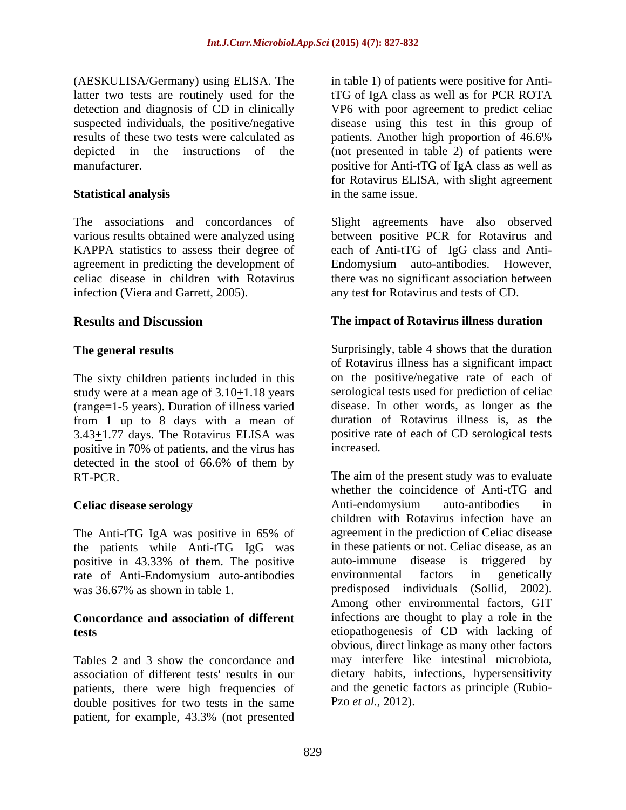detection and diagnosis of CD in clinically results of these two tests were calculated as patients. Another high proportion of 46.6%

agreement in predicting the development of

The sixty children patients included in this study were at a mean age of  $3.10+1.18$  years (range=1-5 years). Duration of illness varied from 1 up to 8 days with a mean of 3.43+1.77 days. The Rotavirus ELISA was positive in 70% of patients, and the virus has detected in the stool of 66.6% of them by

The Anti-tTG IgA was positive in 65% of the patients while Anti-tTG IgG was positive in 43.33% of them. The positive auto-immune disease is triggered by rate of Anti-Endomysium auto-antibodies

Tables 2 and 3 show the concordance and patients, there were high frequencies of double positives for two tests in the same patient, for example, 43.3% (not presented

(AESKULISA/Germany) using ELISA. The in table 1) of patients were positive for Antilatter two tests are routinely used for the tTG of IgA class as well as for PCR ROTA suspected individuals, the positive/negative disease using this test in this group of depicted in the instructions of the (not presented in table 2) of patients were manufacturer. positive for Anti-tTG of IgA class as well as **Statistical analysis** VP6 with poor agreement to predict celiac patients. Another high proportion of 46.6% for Rotavirus ELISA, with slight agreement in the same issue.

The associations and concordances of Slight agreements have also observed various results obtained were analyzed using between positive PCR for Rotavirus and KAPPA statistics to assess their degree of each of Anti-tTG of IgG class and Anti celiac disease in children with Rotavirus therewas no significant association between infection (Viera and Garrett, 2005). any test for Rotavirus and tests of CD. Endomysium auto-antibodies. However,

# **Results and Discussion The impact of Rotavirus illness duration**

**The general results** Surprisingly, table 4 shows that the duration of Rotavirus illness has a significant impact on the positive/negative rate of each of serological tests used for prediction of celiac disease. In other words, as longer as the duration of Rotavirus illness is, as the positive rate of each of CD serological tests increased.

RT-PCR. The aim of the present study was to evaluate **Celiac disease serology** was 36.67% as shown in table 1. predisposed individuals (Sollid, 2002). **Concordance and association of different** infections are thought to play a role in the **tests** etiopathogenesis of CD with lacking of association of different tests' results in our dietary habits, infections, hypersensitivity whether the coincidence of Anti-tTG and Anti-endomysium auto-antibodies in children with Rotavirus infection have an agreement in the prediction of Celiac disease in these patients or not. Celiac disease, as an auto-immune disease is triggered environmental factors in genetically Among other environmental factors, GIT obvious, direct linkage as many other factors may interfere like intestinal microbiota, and the genetic factors as principle (Rubio- Pzo *et al.,* 2012).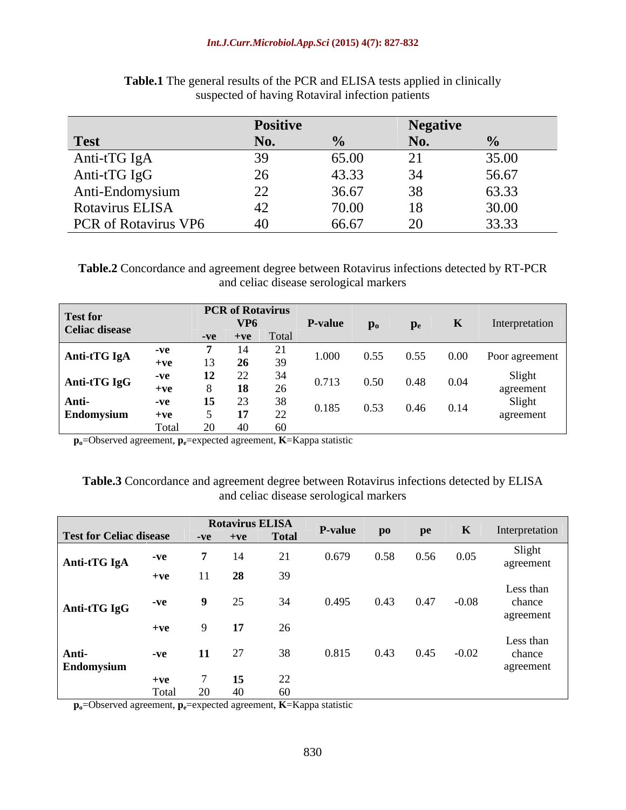|                      | <b>Positive</b> |       | vegauve  |       |
|----------------------|-----------------|-------|----------|-------|
| <b>Test</b>          |                 |       |          |       |
| Anti-tTG IgA         |                 | 65.00 |          | 35.00 |
| Anti-tTG IgG         | $\sim$          | 43.33 |          | 56.67 |
| Anti-Endomysium      | $\sim$          | 36.67 | $\Omega$ | 63.32 |
| Rotavirus ELISA      |                 | 70.00 |          | 30.00 |
| PCR of Rotavirus VP6 |                 | 66.67 |          | 22.22 |

**Table.1** The general results of the PCR and ELISA tests applied in clinically suspected of having Rotaviral infection patients

**Table.2** Concordance and agreement degree between Rotavirus infections detected by RT-PCR and celiac disease serological markers

| <b>Test for</b>            |                   |    | <b>PCR</b> of Rotavirus  |       |      |             |                |
|----------------------------|-------------------|----|--------------------------|-------|------|-------------|----------------|
| Celiac disease             |                   |    | VP6<br>$-ve$ $+ve$ Total |       |      |             | nterpretation  |
| Anti-tTG IgA               | $+ve$             | IJ |                          | ,,,,, |      | 0.00-       | Poor agreement |
| Anti-tTG IgC               | $+{\bf v}{\bf e}$ |    | $\sim$ $\sim$            |       |      | $0.48$ 0.04 | agreemer       |
| Anti-<br><b>Endomysium</b> |                   |    | $\sim$ $\sim$            | ר או  | 0.53 | $0.46$ 0.14 | agreemen       |

**po**=Observed agreement, **pe**=expected agreement, **K**=Kappa statistic

### **Table.3** Concordance and agreement degree between Rotavirus infections detected by ELISA and celiac disease serological markers

|                                |       |       | <b>Rotavirus ELISA</b> |        |            |      |      |             |                |
|--------------------------------|-------|-------|------------------------|--------|------------|------|------|-------------|----------------|
| <b>Test for Celiac disease</b> |       |       | $-ve$ $+ve$ $Total$    |        | P-value po |      | pe   |             | Interpretation |
|                                | $-Vf$ |       |                        |        |            | 9.58 |      | $0.56$ 0.05 | Slight         |
| Anti-tTG IgA                   |       |       |                        |        |            |      |      |             | agreement      |
|                                | $+ve$ | 11 28 |                        | -39    |            |      |      |             |                |
|                                |       |       |                        |        |            |      |      |             | Less than      |
|                                |       |       |                        |        |            |      | 0.47 | $-0.08$     | chance         |
| Anti-tTG IgG                   |       |       |                        |        |            |      |      |             | agreement      |
|                                | $+ve$ |       |                        |        |            |      |      |             |                |
|                                |       |       |                        |        |            |      |      |             | Less than      |
|                                |       |       |                        |        |            |      | 0.45 | $-0.02$     |                |
| Anti-                          | $-ve$ |       |                        |        | 9.81       |      |      |             | chance         |
| Endomysium                     |       |       |                        |        |            |      |      |             | agreement      |
|                                | $+ve$ |       | -15                    | $\cap$ |            |      |      |             |                |
|                                | Total |       |                        | - 60   |            |      |      |             |                |

**po**=Observed agreement, **pe**=expected agreement, **K**=Kappa statistic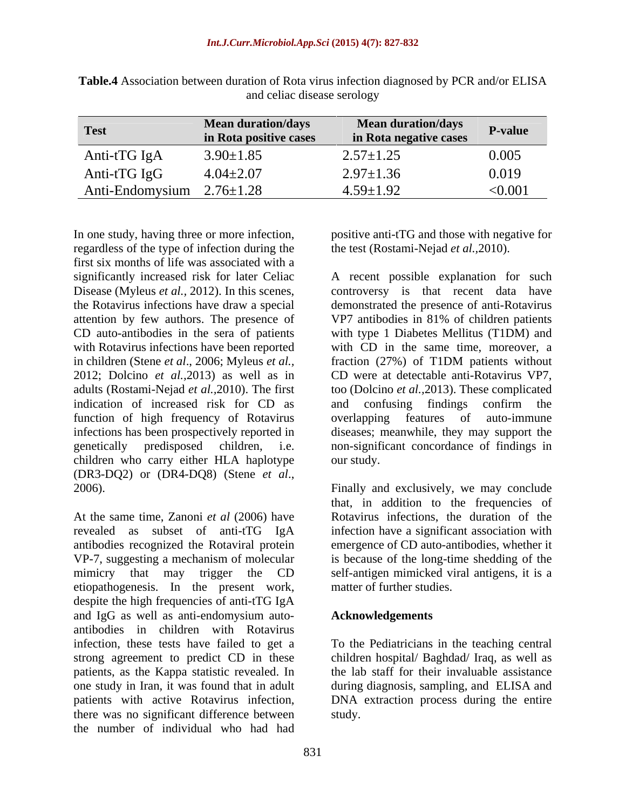| <b>Test</b>                     | <b>Mean duration/days</b><br>in Rota positive cases | Mean duration/days<br>in Rota negative cases | <b>P-value</b> |
|---------------------------------|-----------------------------------------------------|----------------------------------------------|----------------|
| Anti-tTG IgA                    | $3.90 \pm 1.85$                                     | $2.57 \pm 1.25$                              | 0.005          |
| Anti-tTG IgG                    | $4.04 \pm 2.07$                                     | $2.97 \pm 1.36$                              | 0.019          |
| Anti-Endomysium $2.76 \pm 1.28$ |                                                     | $.59 \pm 1.92$                               | < 0.001        |

**Table.4** Association between duration of Rota virus infection diagnosed by PCR and/or ELISA and celiac disease serology

regardless of the type of infection during the first six months of life was associated with a in children (Stene *et al.*, 2006; Myleus *et al.*, fraction (27%) of T1DM patients without indication of increased risk for CD as and confusing findings confirm the function of high frequency of Rotavirus overlapping features of auto-immune infections has been prospectively reported in children who carry either HLA haplotype our study. (DR3-DQ2) or (DR4-DQ8) (Stene *et al*., 2006). Finally and exclusively, we may conclude

At the same time, Zanoni *et al* (2006) have revealed as subset of anti-tTG IgA infection have a significant association with antibodies recognized the Rotaviral protein VP-7, suggesting a mechanism of molecular is because of the long-time shedding of the mimicry that may trigger the CD self-antigen mimicked viral antigens, it is a etiopathogenesis. In the present work, despite the high frequencies of anti-tTG IgA and IgG as well as anti-endomysium auto-<br>**Acknowledgements** antibodies in children with Rotavirus infection, these tests have failed to get a To the Pediatricians in the teaching central strong agreement to predict CD in these children hospital/ Baghdad/ Iraq, as well as patients, as the Kappa statistic revealed. In one study in Iran, it was found that in adult during diagnosis, sampling, and ELISA and patients with active Rotavirus infection, DNA extraction process during the entire there was no significant difference between the number of individual who had had

In one study, having three or more infection, positive anti-tTG and those with negative for the test (Rostami-Nejad *et al.,*2010).

significantly increased risk for later Celiac A recent possible explanation for such Disease (Myleus *et al.*, 2012). In this scenes, controversy is that recent data have the Rotavirus infections have draw a special demonstrated the presence of anti-Rotavirus attention by few authors. The presence of VP7 antibodies in 81% of children patients CD auto-antibodies in the sera of patients with type 1 Diabetes Mellitus (T1DM) and with Rotavirus infections have been reported with CD in the same time, moreover, a 2012; Dolcino *et al.,*2013) as well as in CD were at detectable anti-Rotavirus VP7, adults (Rostami-Nejad *et al.,*2010). The first too (Dolcino *et al.,*2013). These complicated genetically predisposed children, i.e. non-significant concordance of findings in fraction (27%) of T1DM patients without and confusing findings confirm the overlapping features of auto-immune diseases; meanwhile, they may support the our study.

> that, in addition to the frequencies of Rotavirus infections, the duration of the emergence of CD auto-antibodies, whether it matter of further studies.

# **Acknowledgements**

the lab staff for their invaluable assistance study.